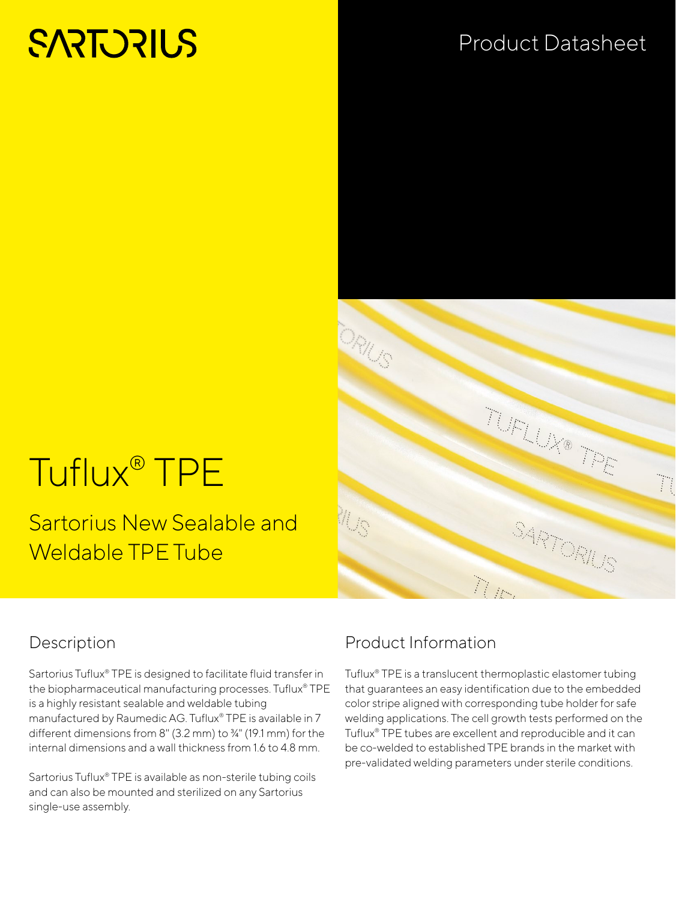# **SARTORIUS**

## Product Datasheet

# Tuflux® TPE

Sartorius New Sealable and Weldable TPE Tube



#### Description

Sartorius Tuflux® TPE is designed to facilitate fluid transfer in the biopharmaceutical manufacturing processes. Tuflux® TPE is a highly resistant sealable and weldable tubing manufactured by Raumedic AG. Tuflux® TPE is available in 7 different dimensions from 8" (3.2 mm) to ¾" (19.1 mm) for the internal dimensions and a wall thickness from 1.6 to 4.8 mm.

Sartorius Tuflux® TPE is available as non-sterile tubing coils and can also be mounted and sterilized on any Sartorius single-use assembly.

### Product Information

Tuflux® TPE is a translucent thermoplastic elastomer tubing that guarantees an easy identification due to the embedded color stripe aligned with corresponding tube holder for safe welding applications. The cell growth tests performed on the Tuflux® TPE tubes are excellent and reproducible and it can be co-welded to established TPE brands in the market with pre-validated welding parameters under sterile conditions.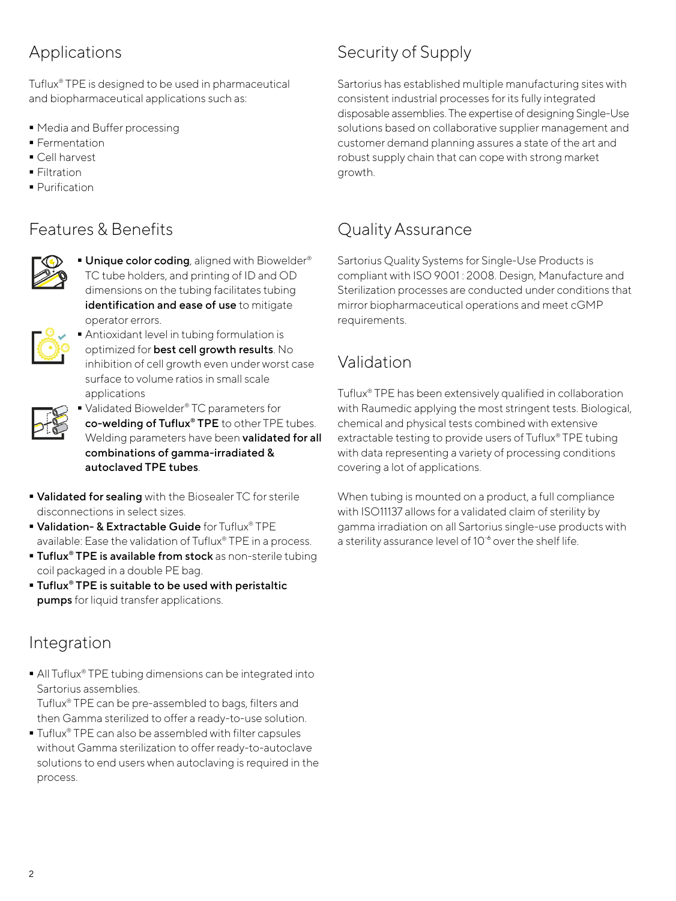### Applications

Tuflux® TPE is designed to be used in pharmaceutical and biopharmaceutical applications such as:

- Media and Buffer processing
- **Fermentation**
- Cell harvest
- **Filtration**
- **Purification**

#### Features & Benefits



**Unique color coding**, aligned with Biowelder® TC tube holders, and printing of ID and OD dimensions on the tubing facilitates tubing identification and ease of use to mitigate operator errors.



 Antioxidant level in tubing formulation is optimized for best cell growth results. No inhibition of cell growth even under worst case surface to volume ratios in small scale applications

■ Validated Biowelder<sup>®</sup> TC parameters for co-welding of Tuflux® TPE to other TPE tubes. Welding parameters have been **validated for all** combinations of gamma-irradiated & autoclaved TPE tubes.

- **Validated for sealing** with the Biosealer TC for sterile disconnections in select sizes.
- Validation- & Extractable Guide for Tuflux® TPE available: Ease the validation of Tuflux® TPE in a process.
- **Tuflux<sup>®</sup> TPE is available from stock** as non-sterile tubing coil packaged in a double PE bag.
- Tuflux<sup>®</sup> TPE is suitable to be used with peristaltic pumps for liquid transfer applications.

#### Integration

■ All Tuflux® TPE tubing dimensions can be integrated into Sartorius assemblies.

Tuflux® TPE can be pre-assembled to bags, filters and then Gamma sterilized to offer a ready-to-use solution.

■ Tuflux<sup>®</sup> TPE can also be assembled with filter capsules without Gamma sterilization to offer ready-to-autoclave solutions to end users when autoclaving is required in the process.

### Security of Supply

Sartorius has established multiple manufacturing sites with consistent industrial processes for its fully integrated disposable assemblies. The expertise of designing Single-Use solutions based on collaborative supplier management and customer demand planning assures a state of the art and robust supply chain that can cope with strong market growth.

#### Quality Assurance

Sartorius Quality Systems for Single-Use Products is compliant with ISO 9001 : 2008. Design, Manufacture and Sterilization processes are conducted under conditions that mirror biopharmaceutical operations and meet cGMP requirements.

#### Validation

Tuflux® TPE has been extensively qualified in collaboration with Raumedic applying the most stringent tests. Biological, chemical and physical tests combined with extensive extractable testing to provide users of Tuflux® TPE tubing with data representing a variety of processing conditions covering a lot of applications.

When tubing is mounted on a product, a full compliance with ISO11137 allows for a validated claim of sterility by gamma irradiation on all Sartorius single-use products with a sterility assurance level of 10<sup>-6</sup> over the shelf life.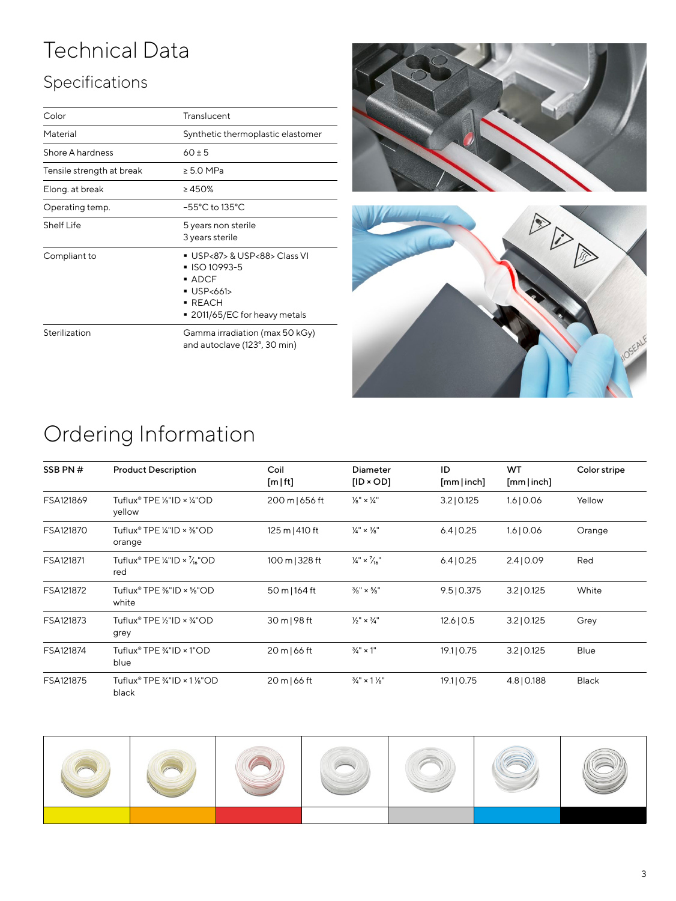# Technical Data

## Specifications

| Color                     | Translucent                                                                                                                                              |  |  |  |
|---------------------------|----------------------------------------------------------------------------------------------------------------------------------------------------------|--|--|--|
| Material                  | Synthetic thermoplastic elastomer                                                                                                                        |  |  |  |
| Shore A hardness          | $60 \pm 5$                                                                                                                                               |  |  |  |
| Tensile strength at break | $\geq 5.0$ MPa                                                                                                                                           |  |  |  |
| Elong, at break           | $\geq 450\%$                                                                                                                                             |  |  |  |
| Operating temp.           | $-55^{\circ}$ C to 135 $^{\circ}$ C                                                                                                                      |  |  |  |
| <b>Shelf Life</b>         | 5 years non sterile<br>3 years sterile                                                                                                                   |  |  |  |
| Compliant to              | ■ USP<87> & USP<88> Class VI<br>■ ISO 10993-5<br>$\blacksquare$ ADCF<br>$\blacksquare$ USP<661><br>$\blacksquare$ REACH<br>■ 2011/65/EC for heavy metals |  |  |  |
| Sterilization             | Gamma irradiation (max 50 kGy)<br>and autoclave (123°, 30 min)                                                                                           |  |  |  |





# Ordering Information

| SSB PN#   | <b>Product Description</b>                                              | Coil<br>$[m]$ ft] | Diameter<br>$[ID \times OD]$           | ID<br>[mm inch] | WT<br>[mm inch] | Color stripe |
|-----------|-------------------------------------------------------------------------|-------------------|----------------------------------------|-----------------|-----------------|--------------|
| FSA121869 | Tuflux® TPE $\frac{1}{8}$ "ID × $\frac{1}{4}$ "OD<br>yellow             | 200 m   656 ft    | $\frac{1}{8}$ " × $\frac{1}{4}$ "      | $3.2$   0.125   | 1.6 0.06        | Yellow       |
| FSA121870 | Tuflux <sup>®</sup> TPE $\frac{1}{4}$ "ID × $\frac{3}{8}$ "OD<br>orange | 125 m   410 ft    | $\frac{1}{4}$ $\times$ $\frac{3}{8}$ " | 6.4 0.25        | 1.6 0.06        | Orange       |
| FSA121871 | Tuflux® TPE ¼"ID × $\frac{7}{16}$ "OD<br>red                            | 100 m   328 ft    | $\frac{1}{4}$ × $\frac{7}{16}$ "       | 6.4 0.25        | 2.4 0.09        | Red          |
| FSA121872 | Tuflux® TPE $\frac{3}{8}$ "ID × $\frac{5}{8}$ "OD<br>white              | 50 m   164 ft     | $\frac{3}{8}$ " × $\frac{5}{8}$ "      | 9.5 0.375       | $3.2$   0.125   | White        |
| FSA121873 | Tuflux® TPE $\frac{1}{2}$ "ID × $\frac{3}{4}$ "OD<br>grey               | 30 m   98 ft      | $\frac{1}{2}$ " × $\frac{3}{4}$ "      | 12.6 0.5        | $3.2$   0.125   | Grey         |
| FSA121874 | Tuflux® TPE 3⁄4"ID × 1"OD<br>blue                                       | 20 m   66 ft      | $\frac{3}{4}$ " × 1"                   | 19.1   0.75     | $3.2$   0.125   | Blue         |
| FSA121875 | Tuflux® TPE $\frac{3}{4}$ "ID × 1 %"OD<br>black                         | 20 m   66 ft      | $\frac{3}{4}$ " × 1 $\frac{1}{8}$ "    | 19.1   0.75     | 4.8   0.188     | <b>Black</b> |